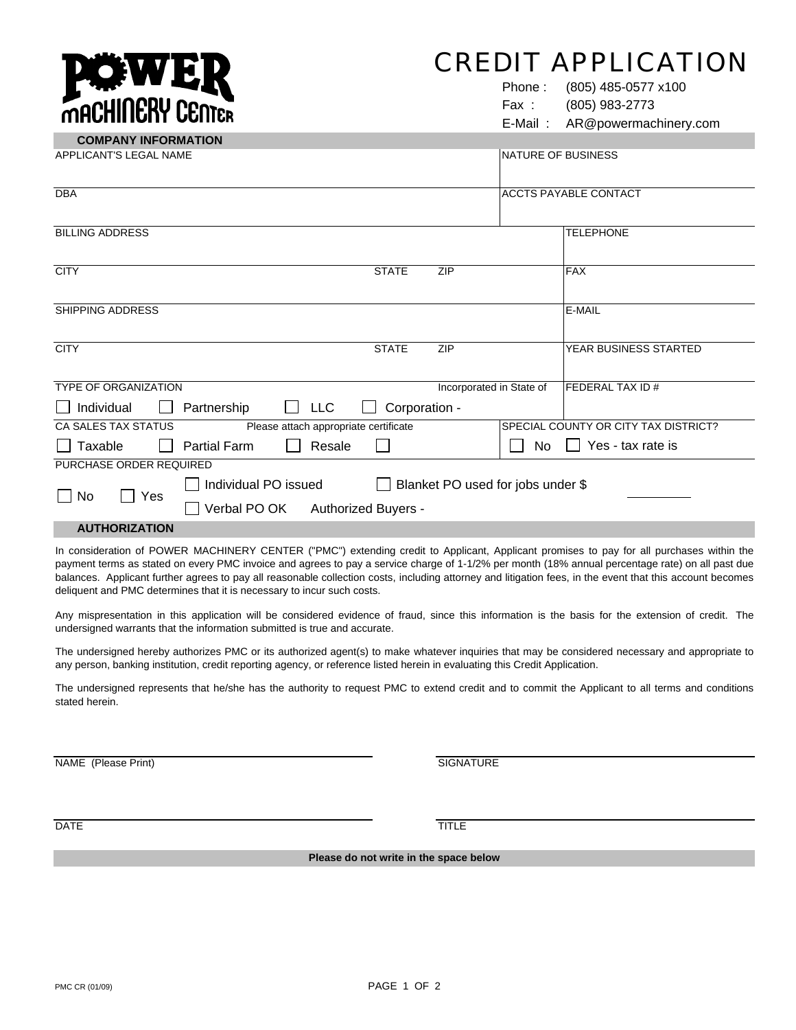## CREDIT APPLICATION

Phone : (805) 485-0577 x100 Fax : (805) 983-2773

E-Mail : AR@powermachinery.com

| <b>COMPANY INFORMATION</b>                                   |                                                           |                      |                          |                           |                                      |  |
|--------------------------------------------------------------|-----------------------------------------------------------|----------------------|--------------------------|---------------------------|--------------------------------------|--|
| APPLICANT'S LEGAL NAME                                       |                                                           |                      |                          | <b>NATURE OF BUSINESS</b> |                                      |  |
| <b>DBA</b>                                                   |                                                           |                      |                          |                           | <b>ACCTS PAYABLE CONTACT</b>         |  |
| <b>BILLING ADDRESS</b>                                       |                                                           |                      |                          |                           | <b>TELEPHONE</b>                     |  |
| <b>CITY</b>                                                  |                                                           | <b>STATE</b>         | <b>ZIP</b>               |                           | <b>FAX</b>                           |  |
| <b>SHIPPING ADDRESS</b>                                      |                                                           |                      |                          |                           | E-MAIL                               |  |
| <b>CITY</b>                                                  |                                                           | <b>STATE</b>         | <b>ZIP</b>               |                           | YEAR BUSINESS STARTED                |  |
| <b>TYPE OF ORGANIZATION</b>                                  |                                                           |                      | Incorporated in State of |                           | <b>FEDERAL TAX ID #</b>              |  |
| Individual                                                   | Partnership                                               | Corporation -<br>LLC |                          |                           |                                      |  |
| CA SALES TAX STATUS<br>Please attach appropriate certificate |                                                           |                      |                          |                           | SPECIAL COUNTY OR CITY TAX DISTRICT? |  |
| Taxable                                                      | <b>Partial Farm</b>                                       | Resale               |                          | No                        | Yes - tax rate is                    |  |
| PURCHASE ORDER REQUIRED                                      |                                                           |                      |                          |                           |                                      |  |
| $\Box$ No<br>Yes                                             | Individual PO issued<br>Blanket PO used for jobs under \$ |                      |                          |                           |                                      |  |
|                                                              | Verbal PO OK Authorized Buyers -                          |                      |                          |                           |                                      |  |
| <b>AUTHORIZATION</b>                                         |                                                           |                      |                          |                           |                                      |  |

In consideration of POWER MACHINERY CENTER ("PMC") extending credit to Applicant, Applicant promises to pay for all purchases within the payment terms as stated on every PMC invoice and agrees to pay a service charge of 1-1/2% per month (18% annual percentage rate) on all past due balances. Applicant further agrees to pay all reasonable collection costs, including attorney and litigation fees, in the event that this account becomes deliquent and PMC determines that it is necessary to incur such costs.

Any mispresentation in this application will be considered evidence of fraud, since this information is the basis for the extension of credit. The undersigned warrants that the information submitted is true and accurate.

The undersigned hereby authorizes PMC or its authorized agent(s) to make whatever inquiries that may be considered necessary and appropriate to any person, banking institution, credit reporting agency, or reference listed herein in evaluating this Credit Application.

The undersigned represents that he/she has the authority to request PMC to extend credit and to commit the Applicant to all terms and conditions stated herein.

NAME (Please Print) SIGNATURE (Please Print)

**MACHINERY CENTER** 

DATE TITLE THE STATE OF THE STATE OF THE STATE OF THE STATE OF THE STATE OF THE STATE OF THE STATE OF THE STATE OF THE STATE OF THE STATE OF THE STATE OF THE STATE OF THE STATE OF THE STATE OF THE STATE OF THE STATE OF THE

**Please do not write in the space below**